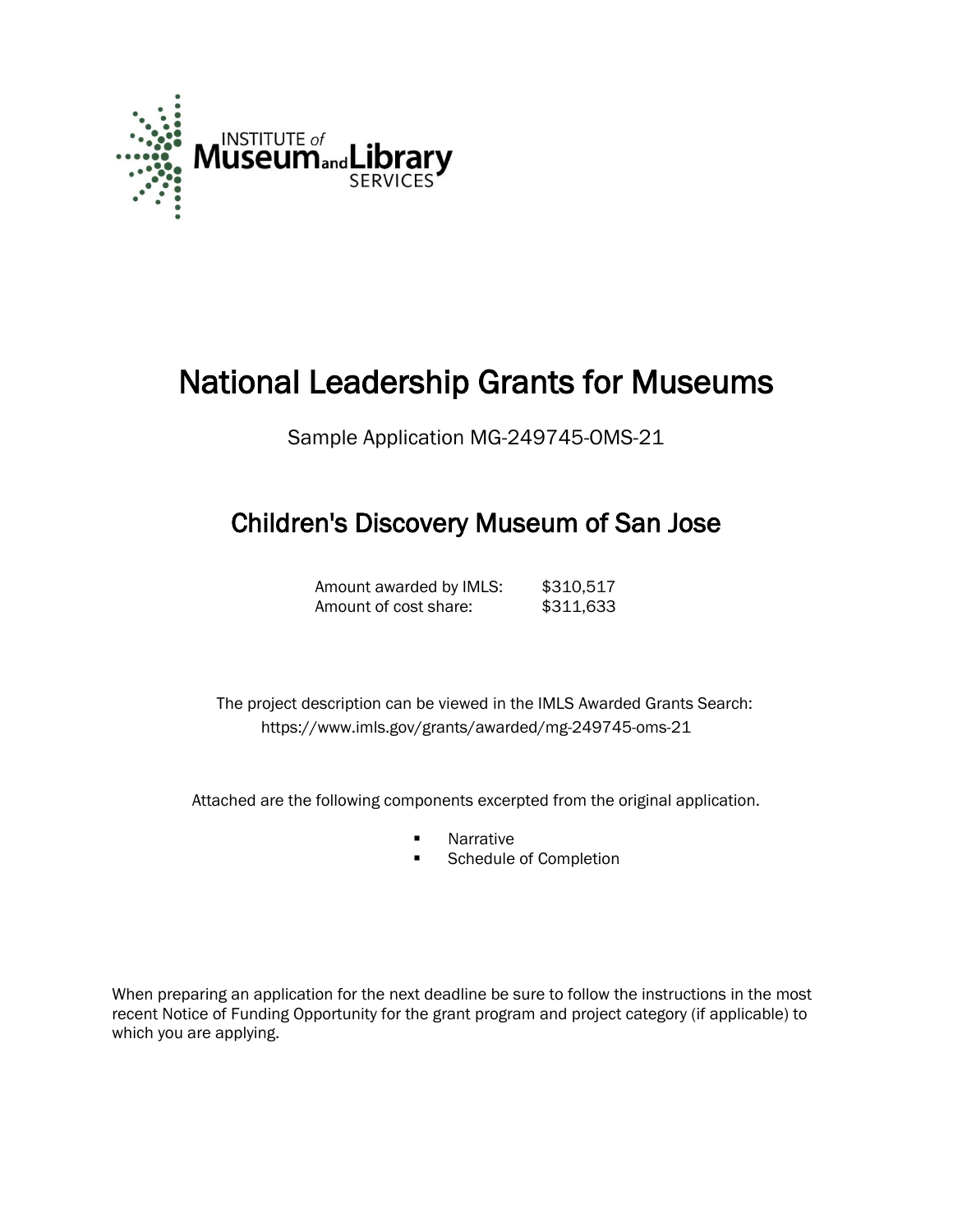

# National Leadership Grants for Museums

Sample Application MG-249745-OMS-21

# Children's Discovery Museum of San Jose

Amount awarded by IMLS: \$310,517 Amount of cost share: \$311,633

 The project description can be viewed in the IMLS Awarded Grants Search: <https://www.imls.gov/grants/awarded/mg-249745-oms-21>

Attached are the following components excerpted from the original application.

- **Narrative**
- **Schedule of Completion**

When preparing an application for the next deadline be sure to follow the instructions in the most recent Notice of Funding Opportunity for the grant program and project category (if applicable) to which you are applying.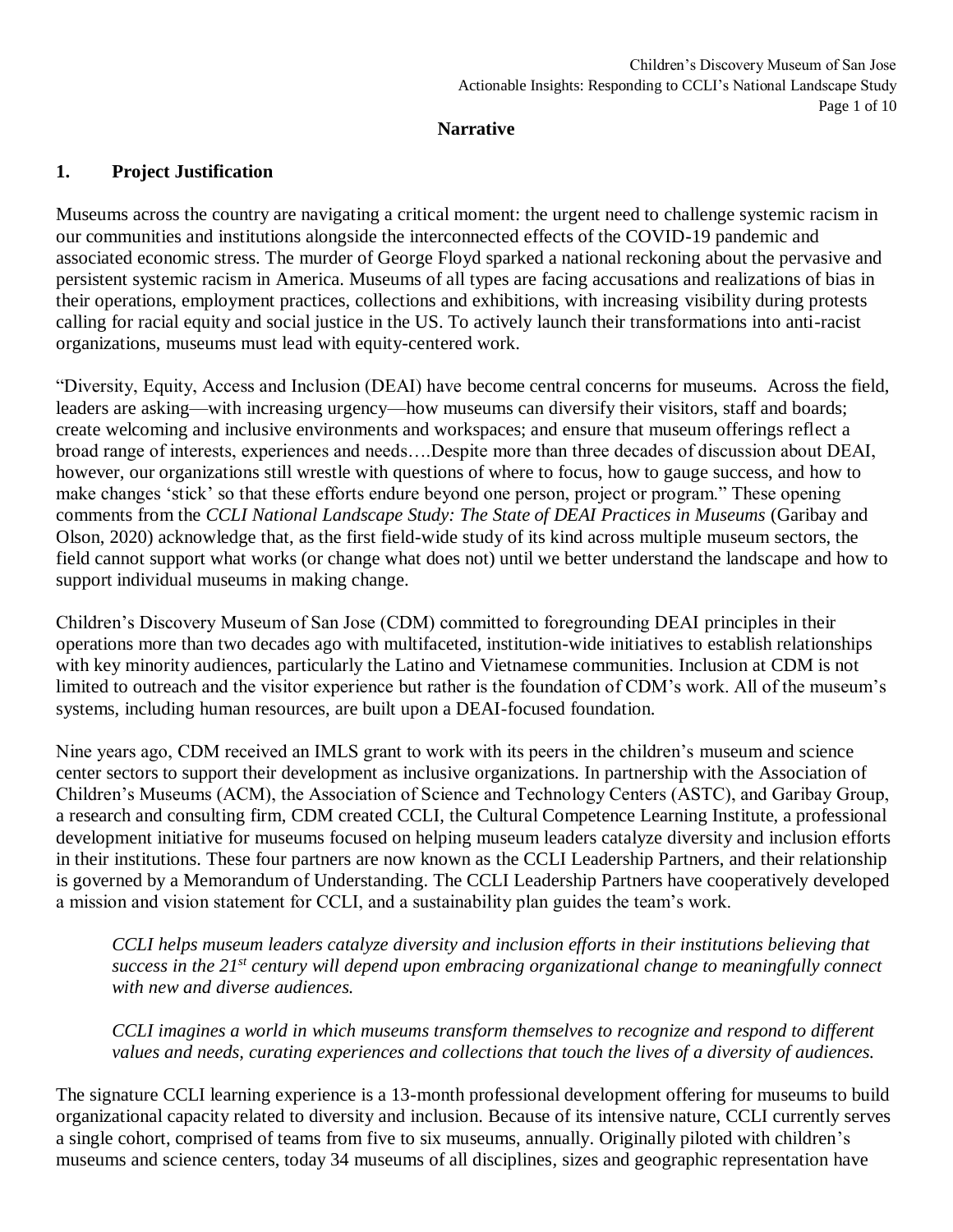#### **Narrative**

#### **1. Project Justification**

Museums across the country are navigating a critical moment: the urgent need to challenge systemic racism in our communities and institutions alongside the interconnected effects of the COVID-19 pandemic and associated economic stress. The murder of George Floyd sparked a national reckoning about the pervasive and persistent systemic racism in America. Museums of all types are facing accusations and realizations of bias in their operations, employment practices, collections and exhibitions, with increasing visibility during protests calling for racial equity and social justice in the US. To actively launch their transformations into anti-racist organizations, museums must lead with equity-centered work.

"Diversity, Equity, Access and Inclusion (DEAI) have become central concerns for museums. Across the field, leaders are asking—with increasing urgency—how museums can diversify their visitors, staff and boards; create welcoming and inclusive environments and workspaces; and ensure that museum offerings reflect a broad range of interests, experiences and needs….Despite more than three decades of discussion about DEAI, however, our organizations still wrestle with questions of where to focus, how to gauge success, and how to make changes 'stick' so that these efforts endure beyond one person, project or program." These opening comments from the *CCLI National Landscape Study: The State of DEAI Practices in Museums* (Garibay and Olson, 2020) acknowledge that, as the first field-wide study of its kind across multiple museum sectors, the field cannot support what works (or change what does not) until we better understand the landscape and how to support individual museums in making change.

Children's Discovery Museum of San Jose (CDM) committed to foregrounding DEAI principles in their operations more than two decades ago with multifaceted, institution-wide initiatives to establish relationships with key minority audiences, particularly the Latino and Vietnamese communities. Inclusion at CDM is not limited to outreach and the visitor experience but rather is the foundation of CDM's work. All of the museum's systems, including human resources, are built upon a DEAI-focused foundation.

Nine years ago, CDM received an IMLS grant to work with its peers in the children's museum and science center sectors to support their development as inclusive organizations. In partnership with the Association of Children's Museums (ACM), the Association of Science and Technology Centers (ASTC), and Garibay Group, a research and consulting firm, CDM created CCLI, the Cultural Competence Learning Institute, a professional development initiative for museums focused on helping museum leaders catalyze diversity and inclusion efforts in their institutions. These four partners are now known as the CCLI Leadership Partners, and their relationship is governed by a Memorandum of Understanding. The CCLI Leadership Partners have cooperatively developed a mission and vision statement for CCLI, and a sustainability plan guides the team's work.

*CCLI helps museum leaders catalyze diversity and inclusion efforts in their institutions believing that success in the 21st century will depend upon embracing organizational change to meaningfully connect with new and diverse audiences.* 

*CCLI imagines a world in which museums transform themselves to recognize and respond to different values and needs, curating experiences and collections that touch the lives of a diversity of audiences.* 

The signature CCLI learning experience is a 13-month professional development offering for museums to build organizational capacity related to diversity and inclusion. Because of its intensive nature, CCLI currently serves a single cohort, comprised of teams from five to six museums, annually. Originally piloted with children's museums and science centers, today 34 museums of all disciplines, sizes and geographic representation have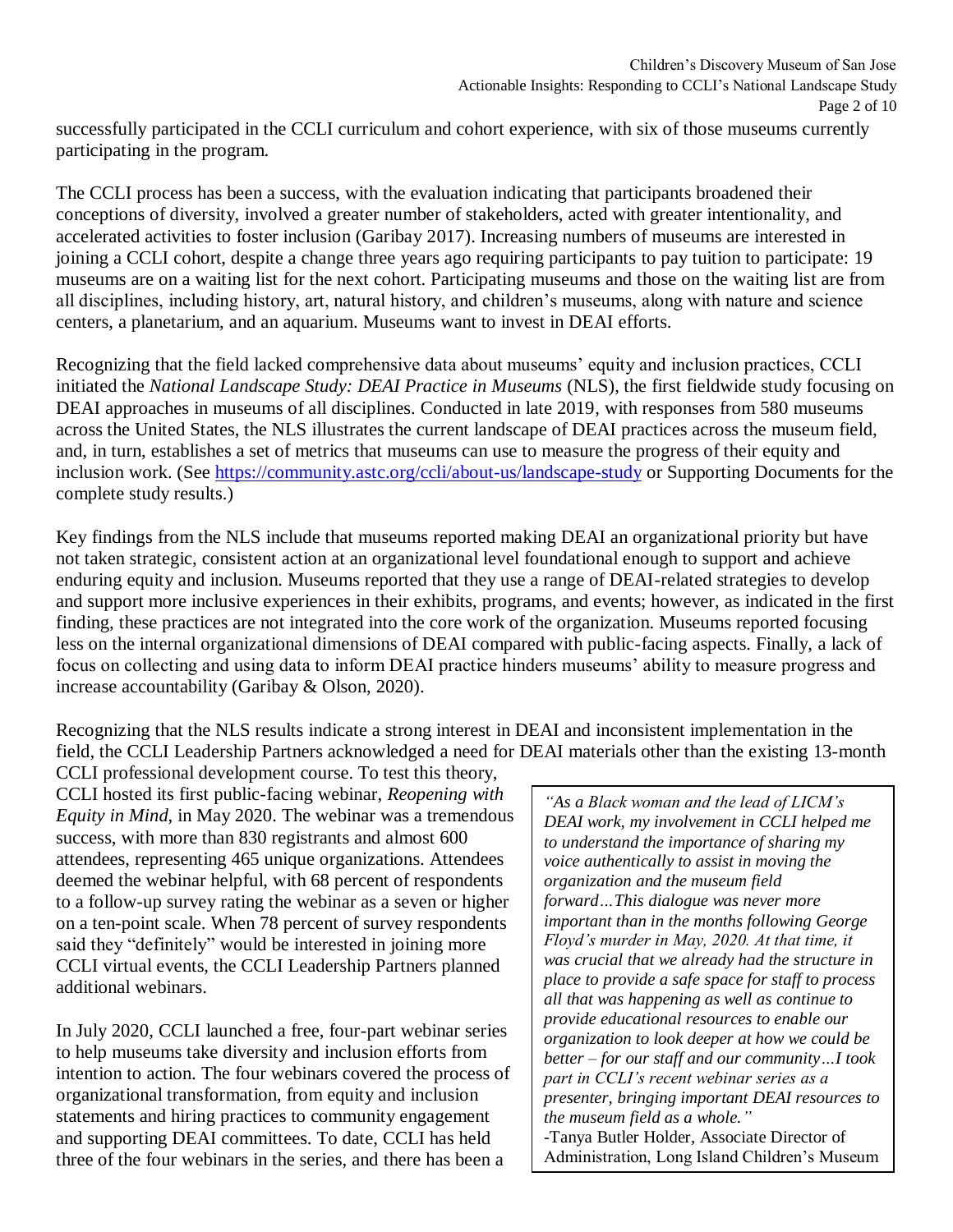successfully participated in the CCLI curriculum and cohort experience, with six of those museums currently participating in the program.

The CCLI process has been a success, with the evaluation indicating that participants broadened their conceptions of diversity, involved a greater number of stakeholders, acted with greater intentionality, and accelerated activities to foster inclusion (Garibay 2017). Increasing numbers of museums are interested in joining a CCLI cohort, despite a change three years ago requiring participants to pay tuition to participate: 19 museums are on a waiting list for the next cohort. Participating museums and those on the waiting list are from all disciplines, including history, art, natural history, and children's museums, along with nature and science centers, a planetarium, and an aquarium. Museums want to invest in DEAI efforts.

Recognizing that the field lacked comprehensive data about museums' equity and inclusion practices, CCLI initiated the *National Landscape Study: DEAI Practice in Museums* (NLS), the first fieldwide study focusing on DEAI approaches in museums of all disciplines. Conducted in late 2019, with responses from 580 museums across the United States, the NLS illustrates the current landscape of DEAI practices across the museum field, and, in turn, establishes a set of metrics that museums can use to measure the progress of their equity and inclusion work. (See <https://community.astc.org/ccli/about-us/landscape-study> or Supporting Documents for the complete study results.)

Key findings from the NLS include that museums reported making DEAI an organizational priority but have not taken strategic, consistent action at an organizational level foundational enough to support and achieve enduring equity and inclusion. Museums reported that they use a range of DEAI-related strategies to develop and support more inclusive experiences in their exhibits, programs, and events; however, as indicated in the first finding, these practices are not integrated into the core work of the organization. Museums reported focusing less on the internal organizational dimensions of DEAI compared with public-facing aspects. Finally, a lack of focus on collecting and using data to inform DEAI practice hinders museums' ability to measure progress and increase accountability (Garibay & Olson, 2020).

Recognizing that the NLS results indicate a strong interest in DEAI and inconsistent implementation in the field, the CCLI Leadership Partners acknowledged a need for DEAI materials other than the existing 13-month

CCLI professional development course. To test this theory, CCLI hosted its first public-facing webinar, *Reopening with Equity in Mind*, in May 2020. The webinar was a tremendous success, with more than 830 registrants and almost 600 attendees, representing 465 unique organizations. Attendees deemed the webinar helpful, with 68 percent of respondents to a follow-up survey rating the webinar as a seven or higher on a ten-point scale. When 78 percent of survey respondents said they "definitely" would be interested in joining more CCLI virtual events, the CCLI Leadership Partners planned additional webinars.

In July 2020, CCLI launched a free, four-part webinar series to help museums take diversity and inclusion efforts from intention to action. The four webinars covered the process of organizational transformation, from equity and inclusion statements and hiring practices to community engagement and supporting DEAI committees. To date, CCLI has held three of the four webinars in the series, and there has been a

*"As a Black woman and the lead of LICM's DEAI work, my involvement in CCLI helped me to understand the importance of sharing my voice authentically to assist in moving the organization and the museum field forward…This dialogue was never more important than in the months following George Floyd's murder in May, 2020. At that time, it was crucial that we already had the structure in place to provide a safe space for staff to process all that was happening as well as continue to provide educational resources to enable our organization to look deeper at how we could be better – for our staff and our community…I took part in CCLI's recent webinar series as a presenter, bringing important DEAI resources to the museum field as a whole."* -Tanya Butler Holder, Associate Director of Administration, Long Island Children's Museum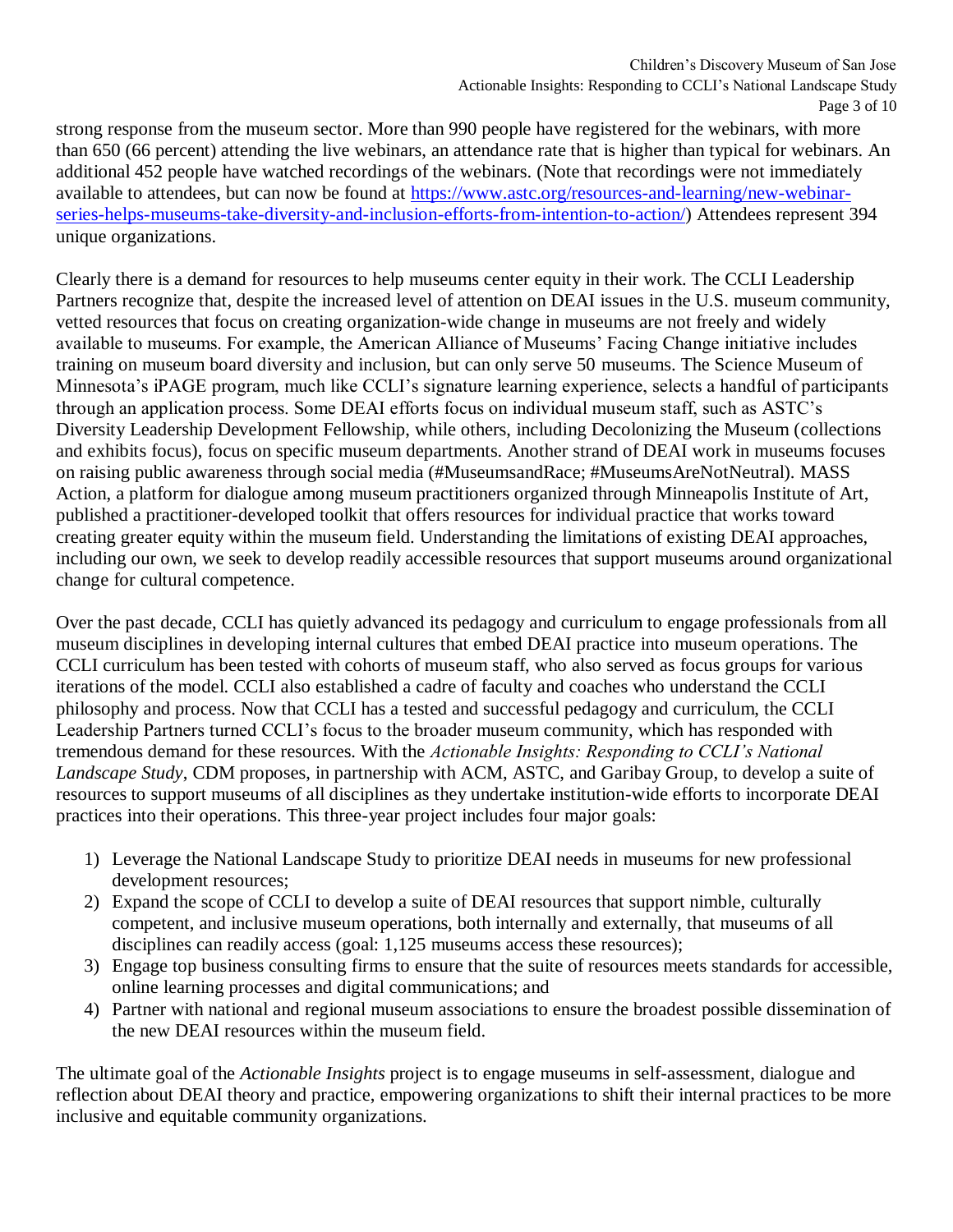strong response from the museum sector. More than 990 people have registered for the webinars, with more than 650 (66 percent) attending the live webinars, an attendance rate that is higher than typical for webinars. An additional 452 people have watched recordings of the webinars. (Note that recordings were not immediately available to attendees, but can now be found at [https://www.astc.org/resources-and-learning/new-webinar](https://www.astc.org/resources-and-learning/new-webinar-series-helps-museums-take-diversity-and-inclusion-efforts-from-intention-to-action/)[series-helps-museums-take-diversity-and-inclusion-efforts-from-intention-to-action/\)](https://www.astc.org/resources-and-learning/new-webinar-series-helps-museums-take-diversity-and-inclusion-efforts-from-intention-to-action/) Attendees represent 394 unique organizations.

Clearly there is a demand for resources to help museums center equity in their work. The CCLI Leadership Partners recognize that, despite the increased level of attention on DEAI issues in the U.S. museum community, vetted resources that focus on creating organization-wide change in museums are not freely and widely available to museums. For example, the American Alliance of Museums' Facing Change initiative includes training on museum board diversity and inclusion, but can only serve 50 museums. The Science Museum of Minnesota's iPAGE program, much like CCLI's signature learning experience, selects a handful of participants through an application process. Some DEAI efforts focus on individual museum staff, such as ASTC's Diversity Leadership Development Fellowship, while others, including Decolonizing the Museum (collections and exhibits focus), focus on specific museum departments. Another strand of DEAI work in museums focuses on raising public awareness through social media (#MuseumsandRace; #MuseumsAreNotNeutral). MASS Action, a platform for dialogue among museum practitioners organized through Minneapolis Institute of Art, published a practitioner-developed toolkit that offers resources for individual practice that works toward creating greater equity within the museum field. Understanding the limitations of existing DEAI approaches, including our own, we seek to develop readily accessible resources that support museums around organizational change for cultural competence.

Over the past decade, CCLI has quietly advanced its pedagogy and curriculum to engage professionals from all museum disciplines in developing internal cultures that embed DEAI practice into museum operations. The CCLI curriculum has been tested with cohorts of museum staff, who also served as focus groups for various iterations of the model. CCLI also established a cadre of faculty and coaches who understand the CCLI philosophy and process. Now that CCLI has a tested and successful pedagogy and curriculum, the CCLI Leadership Partners turned CCLI's focus to the broader museum community, which has responded with tremendous demand for these resources. With the *Actionable Insights: Responding to CCLI's National Landscape Study*, CDM proposes, in partnership with ACM, ASTC, and Garibay Group, to develop a suite of resources to support museums of all disciplines as they undertake institution-wide efforts to incorporate DEAI practices into their operations. This three-year project includes four major goals:

- 1) Leverage the National Landscape Study to prioritize DEAI needs in museums for new professional development resources;
- 2) Expand the scope of CCLI to develop a suite of DEAI resources that support nimble, culturally competent, and inclusive museum operations, both internally and externally, that museums of all disciplines can readily access (goal: 1,125 museums access these resources);
- 3) Engage top business consulting firms to ensure that the suite of resources meets standards for accessible, online learning processes and digital communications; and
- 4) Partner with national and regional museum associations to ensure the broadest possible dissemination of the new DEAI resources within the museum field.

The ultimate goal of the *Actionable Insights* project is to engage museums in self-assessment, dialogue and reflection about DEAI theory and practice, empowering organizations to shift their internal practices to be more inclusive and equitable community organizations.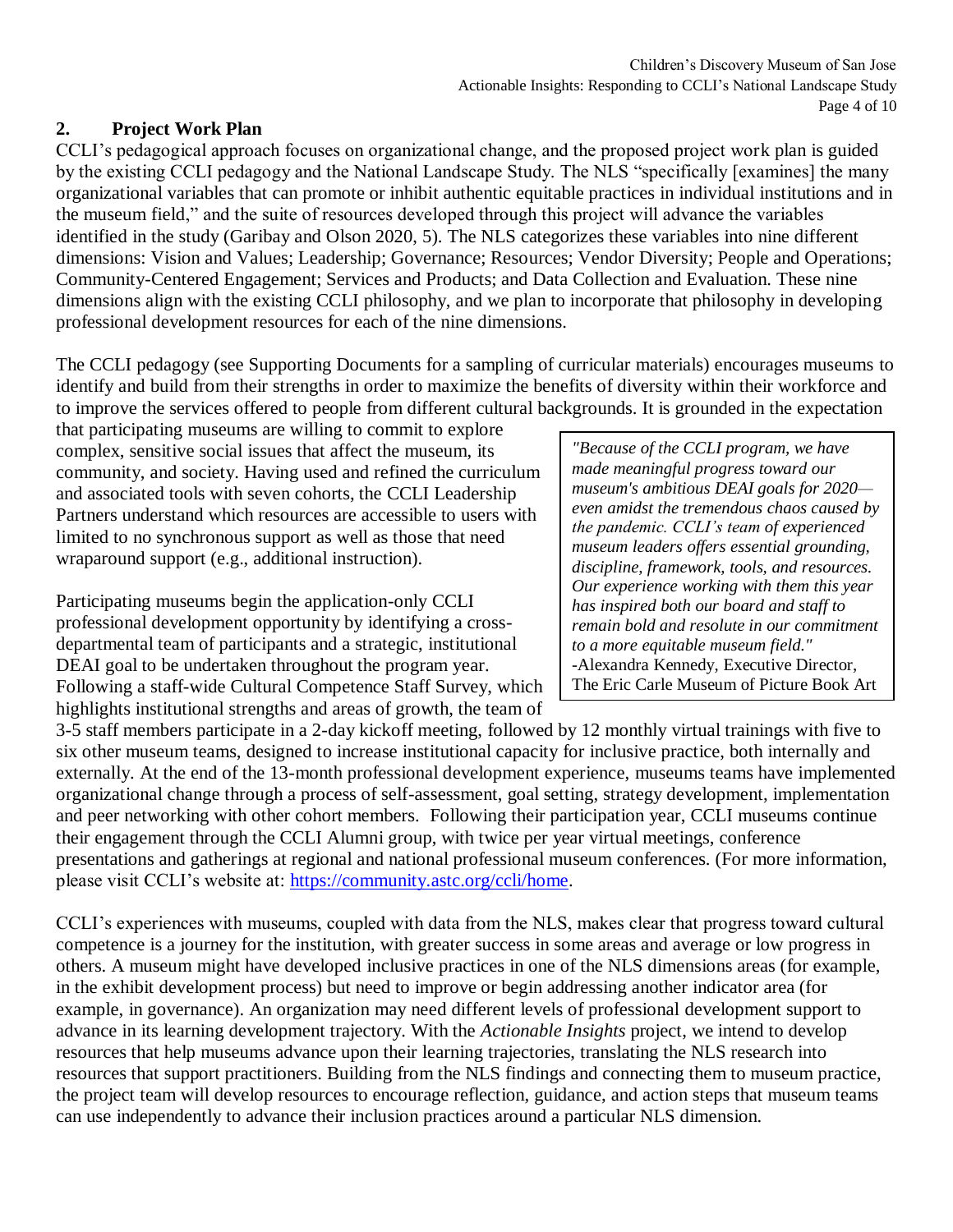# **2. Project Work Plan**

CCLI's pedagogical approach focuses on organizational change, and the proposed project work plan is guided by the existing CCLI pedagogy and the National Landscape Study. The NLS "specifically [examines] the many organizational variables that can promote or inhibit authentic equitable practices in individual institutions and in the museum field," and the suite of resources developed through this project will advance the variables identified in the study (Garibay and Olson 2020, 5). The NLS categorizes these variables into nine different dimensions: Vision and Values; Leadership; Governance; Resources; Vendor Diversity; People and Operations; Community-Centered Engagement; Services and Products; and Data Collection and Evaluation. These nine dimensions align with the existing CCLI philosophy, and we plan to incorporate that philosophy in developing professional development resources for each of the nine dimensions.

The CCLI pedagogy (see Supporting Documents for a sampling of curricular materials) encourages museums to identify and build from their strengths in order to maximize the benefits of diversity within their workforce and to improve the services offered to people from different cultural backgrounds. It is grounded in the expectation

that participating museums are willing to commit to explore complex, sensitive social issues that affect the museum, its community, and society. Having used and refined the curriculum and associated tools with seven cohorts, the CCLI Leadership Partners understand which resources are accessible to users with limited to no synchronous support as well as those that need wraparound support (e.g., additional instruction).

Participating museums begin the application-only CCLI professional development opportunity by identifying a crossdepartmental team of participants and a strategic, institutional DEAI goal to be undertaken throughout the program year. Following a staff-wide Cultural Competence Staff Survey, which highlights institutional strengths and areas of growth, the team of

*"Because of the CCLI program, we have made meaningful progress toward our museum's ambitious DEAI goals for 2020 even amidst the tremendous chaos caused by the pandemic. CCLI's team of experienced museum leaders offers essential grounding, discipline, framework, tools, and resources. Our experience working with them this year has inspired both our board and staff to remain bold and resolute in our commitment to a more equitable museum field."* -Alexandra Kennedy, Executive Director, The Eric Carle Museum of Picture Book Art

3-5 staff members participate in a 2-day kickoff meeting, followed by 12 monthly virtual trainings with five to six other museum teams, designed to increase institutional capacity for inclusive practice, both internally and externally. At the end of the 13-month professional development experience, museums teams have implemented organizational change through a process of self-assessment, goal setting, strategy development, implementation and peer networking with other cohort members. Following their participation year, CCLI museums continue their engagement through the CCLI Alumni group, with twice per year virtual meetings, conference presentations and gatherings at regional and national professional museum conferences. (For more information, please visit CCLI's website at: [https://community.astc.org/ccli/home.](https://community.astc.org/ccli/home)

CCLI's experiences with museums, coupled with data from the NLS, makes clear that progress toward cultural competence is a journey for the institution, with greater success in some areas and average or low progress in others. A museum might have developed inclusive practices in one of the NLS dimensions areas (for example, in the exhibit development process) but need to improve or begin addressing another indicator area (for example, in governance). An organization may need different levels of professional development support to advance in its learning development trajectory. With the *Actionable Insights* project, we intend to develop resources that help museums advance upon their learning trajectories, translating the NLS research into resources that support practitioners. Building from the NLS findings and connecting them to museum practice, the project team will develop resources to encourage reflection, guidance, and action steps that museum teams can use independently to advance their inclusion practices around a particular NLS dimension.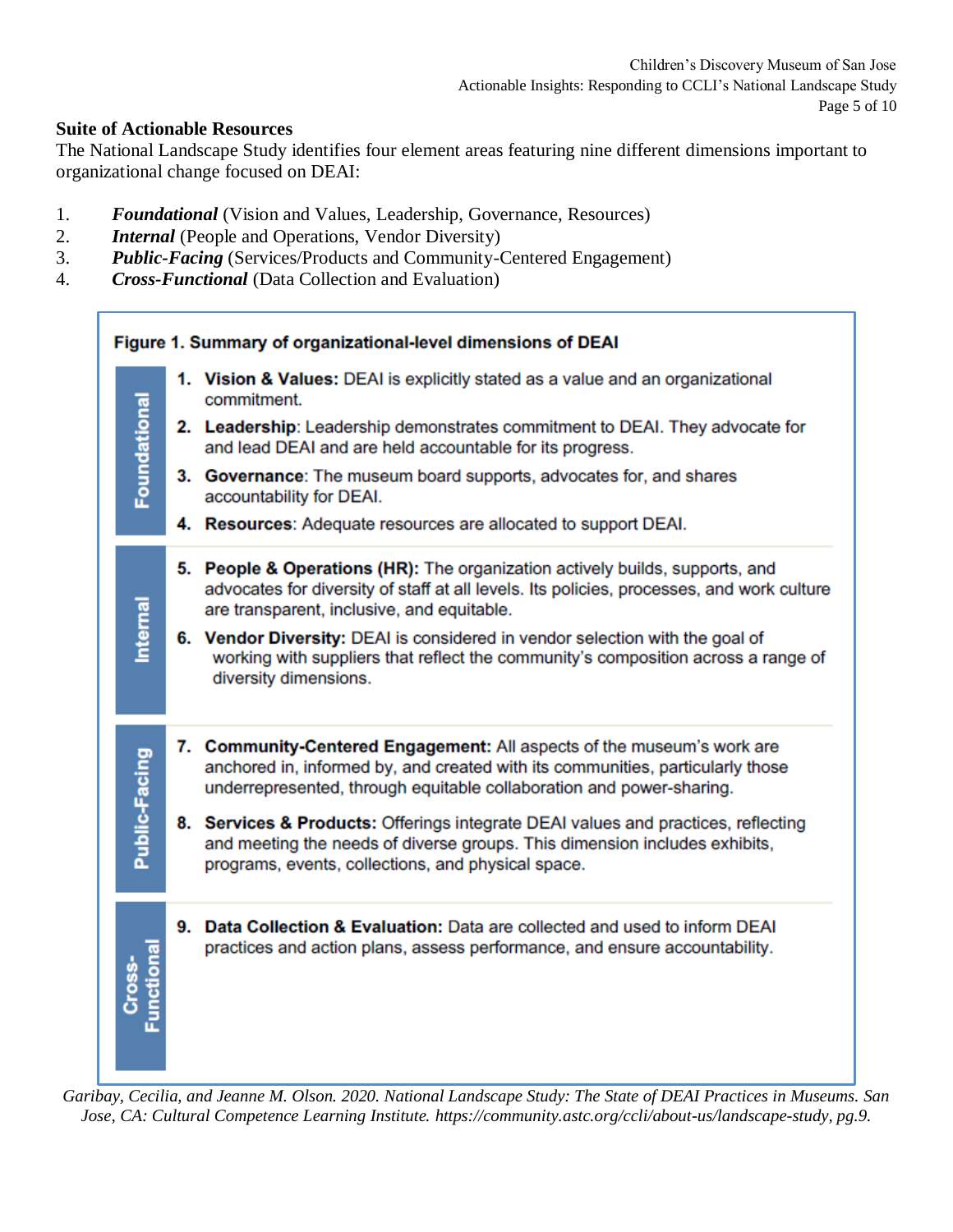#### **Suite of Actionable Resources**

The National Landscape Study identifies four element areas featuring nine different dimensions important to organizational change focused on DEAI:

- 1. *Foundational* (Vision and Values, Leadership, Governance, Resources)
- 2. *Internal* (People and Operations, Vendor Diversity)
- 3. *Public-Facing* (Services/Products and Community-Centered Engagement)
- 4. *Cross-Functional* (Data Collection and Evaluation)



*Garibay, Cecilia, and Jeanne M. Olson. 2020. National Landscape Study: The State of DEAI Practices in Museums. San Jose, CA: Cultural Competence Learning Institute. https://community.astc.org/ccli/about-us/landscape-study, pg.9.*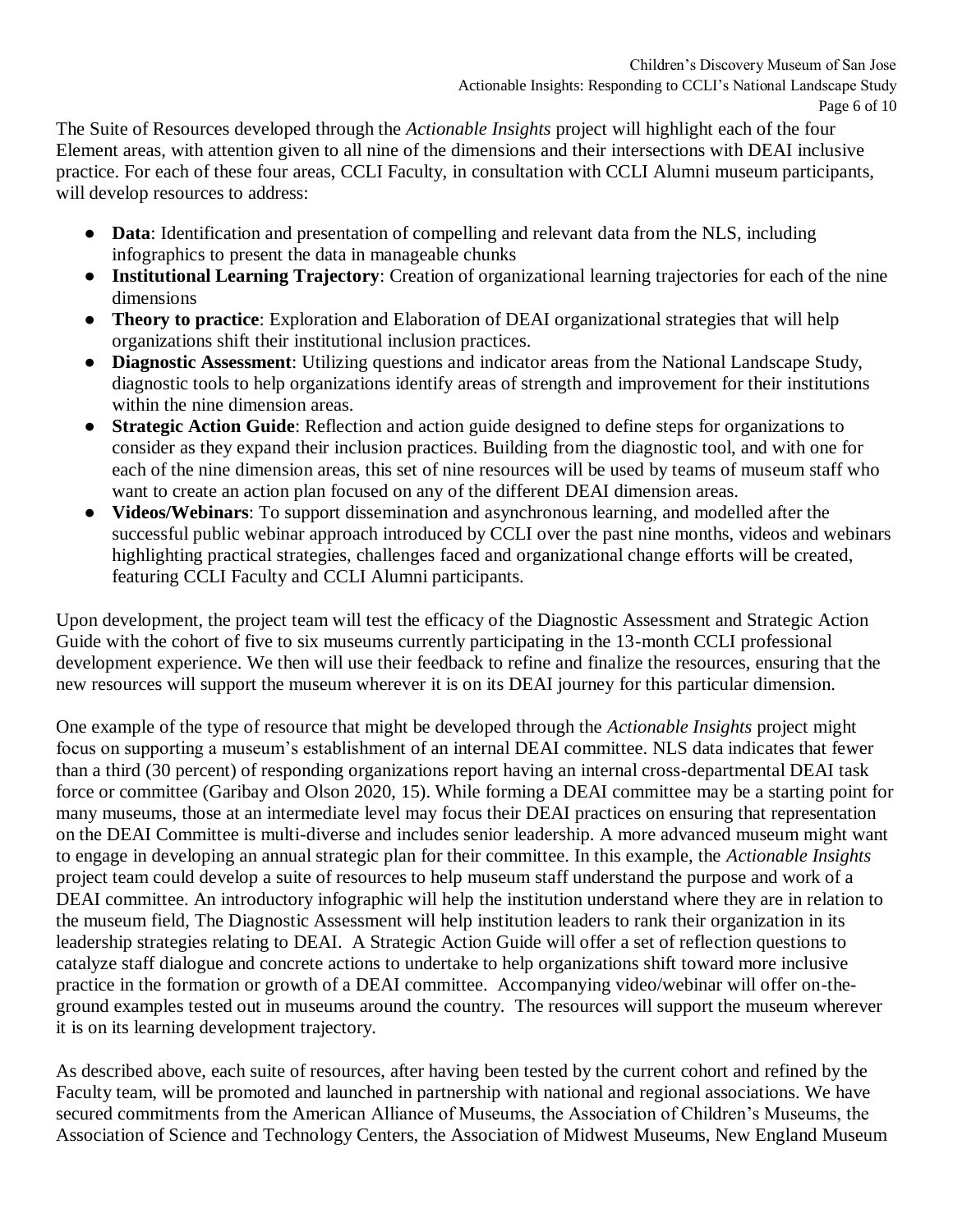The Suite of Resources developed through the *Actionable Insights* project will highlight each of the four Element areas, with attention given to all nine of the dimensions and their intersections with DEAI inclusive practice. For each of these four areas, CCLI Faculty, in consultation with CCLI Alumni museum participants, will develop resources to address:

- **Data**: Identification and presentation of compelling and relevant data from the NLS, including infographics to present the data in manageable chunks
- **Institutional Learning Trajectory**: Creation of organizational learning trajectories for each of the nine dimensions
- **Theory to practice**: Exploration and Elaboration of DEAI organizational strategies that will help organizations shift their institutional inclusion practices.
- **Diagnostic Assessment**: Utilizing questions and indicator areas from the National Landscape Study, diagnostic tools to help organizations identify areas of strength and improvement for their institutions within the nine dimension areas.
- **Strategic Action Guide**: Reflection and action guide designed to define steps for organizations to consider as they expand their inclusion practices. Building from the diagnostic tool, and with one for each of the nine dimension areas, this set of nine resources will be used by teams of museum staff who want to create an action plan focused on any of the different DEAI dimension areas.
- **Videos/Webinars:** To support dissemination and asynchronous learning, and modelled after the successful public webinar approach introduced by CCLI over the past nine months, videos and webinars highlighting practical strategies, challenges faced and organizational change efforts will be created, featuring CCLI Faculty and CCLI Alumni participants.

Upon development, the project team will test the efficacy of the Diagnostic Assessment and Strategic Action Guide with the cohort of five to six museums currently participating in the 13-month CCLI professional development experience. We then will use their feedback to refine and finalize the resources, ensuring that the new resources will support the museum wherever it is on its DEAI journey for this particular dimension.

One example of the type of resource that might be developed through the *Actionable Insights* project might focus on supporting a museum's establishment of an internal DEAI committee. NLS data indicates that fewer than a third (30 percent) of responding organizations report having an internal cross-departmental DEAI task force or committee (Garibay and Olson 2020, 15). While forming a DEAI committee may be a starting point for many museums, those at an intermediate level may focus their DEAI practices on ensuring that representation on the DEAI Committee is multi-diverse and includes senior leadership. A more advanced museum might want to engage in developing an annual strategic plan for their committee. In this example, the *Actionable Insights* project team could develop a suite of resources to help museum staff understand the purpose and work of a DEAI committee. An introductory infographic will help the institution understand where they are in relation to the museum field, The Diagnostic Assessment will help institution leaders to rank their organization in its leadership strategies relating to DEAI. A Strategic Action Guide will offer a set of reflection questions to catalyze staff dialogue and concrete actions to undertake to help organizations shift toward more inclusive practice in the formation or growth of a DEAI committee. Accompanying video/webinar will offer on-theground examples tested out in museums around the country. The resources will support the museum wherever it is on its learning development trajectory.

As described above, each suite of resources, after having been tested by the current cohort and refined by the Faculty team, will be promoted and launched in partnership with national and regional associations. We have secured commitments from the American Alliance of Museums, the Association of Children's Museums, the Association of Science and Technology Centers, the Association of Midwest Museums, New England Museum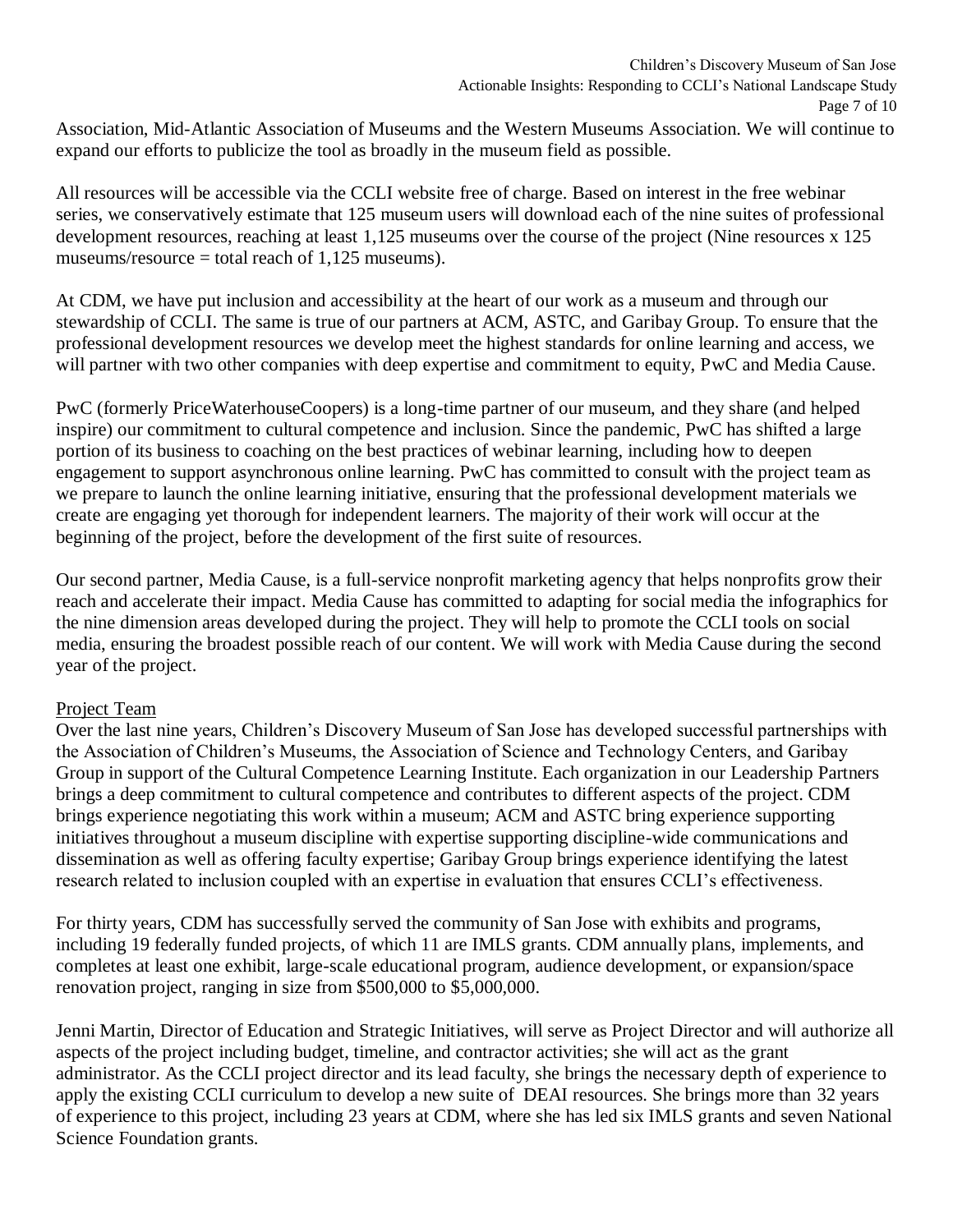Association, Mid-Atlantic Association of Museums and the Western Museums Association. We will continue to expand our efforts to publicize the tool as broadly in the museum field as possible.

All resources will be accessible via the CCLI website free of charge. Based on interest in the free webinar series, we conservatively estimate that 125 museum users will download each of the nine suites of professional development resources, reaching at least 1,125 museums over the course of the project (Nine resources x 125 museums/resource  $=$  total reach of 1,125 museums).

At CDM, we have put inclusion and accessibility at the heart of our work as a museum and through our stewardship of CCLI. The same is true of our partners at ACM, ASTC, and Garibay Group. To ensure that the professional development resources we develop meet the highest standards for online learning and access, we will partner with two other companies with deep expertise and commitment to equity, PwC and Media Cause.

PwC (formerly PriceWaterhouseCoopers) is a long-time partner of our museum, and they share (and helped inspire) our commitment to cultural competence and inclusion. Since the pandemic, PwC has shifted a large portion of its business to coaching on the best practices of webinar learning, including how to deepen engagement to support asynchronous online learning. PwC has committed to consult with the project team as we prepare to launch the online learning initiative, ensuring that the professional development materials we create are engaging yet thorough for independent learners. The majority of their work will occur at the beginning of the project, before the development of the first suite of resources.

Our second partner, Media Cause, is a full-service nonprofit marketing agency that helps nonprofits grow their reach and accelerate their impact. Media Cause has committed to adapting for social media the infographics for the nine dimension areas developed during the project. They will help to promote the CCLI tools on social media, ensuring the broadest possible reach of our content. We will work with Media Cause during the second year of the project.

### Project Team

Over the last nine years, Children's Discovery Museum of San Jose has developed successful partnerships with the Association of Children's Museums, the Association of Science and Technology Centers, and Garibay Group in support of the Cultural Competence Learning Institute. Each organization in our Leadership Partners brings a deep commitment to cultural competence and contributes to different aspects of the project. CDM brings experience negotiating this work within a museum; ACM and ASTC bring experience supporting initiatives throughout a museum discipline with expertise supporting discipline-wide communications and dissemination as well as offering faculty expertise; Garibay Group brings experience identifying the latest research related to inclusion coupled with an expertise in evaluation that ensures CCLI's effectiveness.

For thirty years, CDM has successfully served the community of San Jose with exhibits and programs, including 19 federally funded projects, of which 11 are IMLS grants. CDM annually plans, implements, and completes at least one exhibit, large-scale educational program, audience development, or expansion/space renovation project, ranging in size from \$500,000 to \$5,000,000.

Jenni Martin, Director of Education and Strategic Initiatives, will serve as Project Director and will authorize all aspects of the project including budget, timeline, and contractor activities; she will act as the grant administrator. As the CCLI project director and its lead faculty, she brings the necessary depth of experience to apply the existing CCLI curriculum to develop a new suite of DEAI resources. She brings more than 32 years of experience to this project, including 23 years at CDM, where she has led six IMLS grants and seven National Science Foundation grants.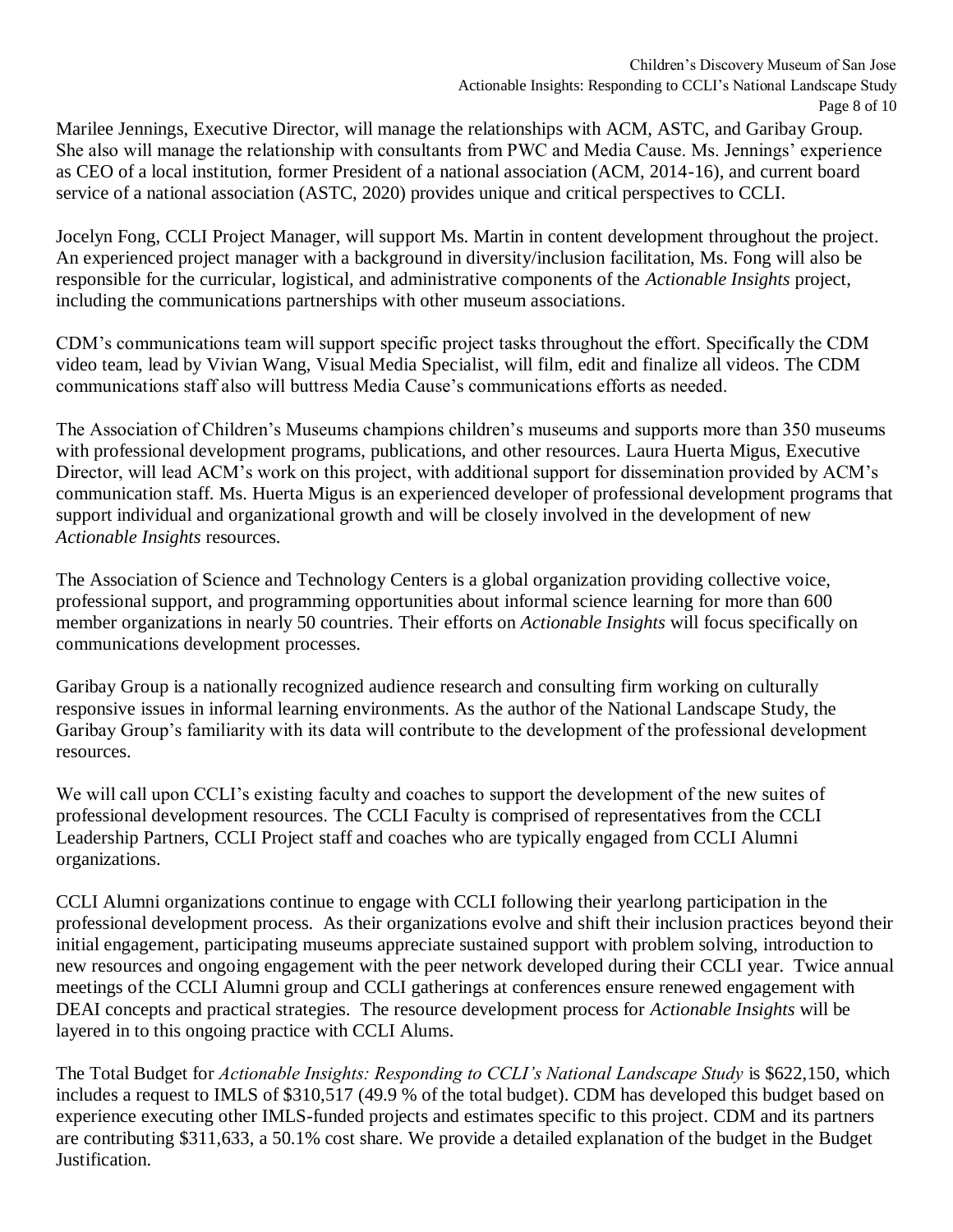Marilee Jennings, Executive Director, will manage the relationships with ACM, ASTC, and Garibay Group. She also will manage the relationship with consultants from PWC and Media Cause. Ms. Jennings' experience as CEO of a local institution, former President of a national association (ACM, 2014-16), and current board service of a national association (ASTC, 2020) provides unique and critical perspectives to CCLI.

Jocelyn Fong, CCLI Project Manager, will support Ms. Martin in content development throughout the project. An experienced project manager with a background in diversity/inclusion facilitation, Ms. Fong will also be responsible for the curricular, logistical, and administrative components of the *Actionable Insights* project, including the communications partnerships with other museum associations.

CDM's communications team will support specific project tasks throughout the effort. Specifically the CDM video team, lead by Vivian Wang, Visual Media Specialist, will film, edit and finalize all videos. The CDM communications staff also will buttress Media Cause's communications efforts as needed.

The Association of Children's Museums champions children's museums and supports more than 350 museums with professional development programs, publications, and other resources. Laura Huerta Migus, Executive Director, will lead ACM's work on this project, with additional support for dissemination provided by ACM's communication staff. Ms. Huerta Migus is an experienced developer of professional development programs that support individual and organizational growth and will be closely involved in the development of new *Actionable Insights* resources.

The Association of Science and Technology Centers is a global organization providing collective voice, professional support, and programming opportunities about informal science learning for more than 600 member organizations in nearly 50 countries. Their efforts on *Actionable Insights* will focus specifically on communications development processes.

Garibay Group is a nationally recognized audience research and consulting firm working on culturally responsive issues in informal learning environments. As the author of the National Landscape Study, the Garibay Group's familiarity with its data will contribute to the development of the professional development resources.

We will call upon CCLI's existing faculty and coaches to support the development of the new suites of professional development resources. The CCLI Faculty is comprised of representatives from the CCLI Leadership Partners, CCLI Project staff and coaches who are typically engaged from CCLI Alumni organizations.

CCLI Alumni organizations continue to engage with CCLI following their yearlong participation in the professional development process. As their organizations evolve and shift their inclusion practices beyond their initial engagement, participating museums appreciate sustained support with problem solving, introduction to new resources and ongoing engagement with the peer network developed during their CCLI year. Twice annual meetings of the CCLI Alumni group and CCLI gatherings at conferences ensure renewed engagement with DEAI concepts and practical strategies. The resource development process for *Actionable Insights* will be layered in to this ongoing practice with CCLI Alums.

The Total Budget for *Actionable Insights: Responding to CCLI's National Landscape Study* is \$622,150, which includes a request to IMLS of \$310,517 (49.9 % of the total budget). CDM has developed this budget based on experience executing other IMLS-funded projects and estimates specific to this project. CDM and its partners are contributing \$311,633, a 50.1% cost share. We provide a detailed explanation of the budget in the Budget Justification.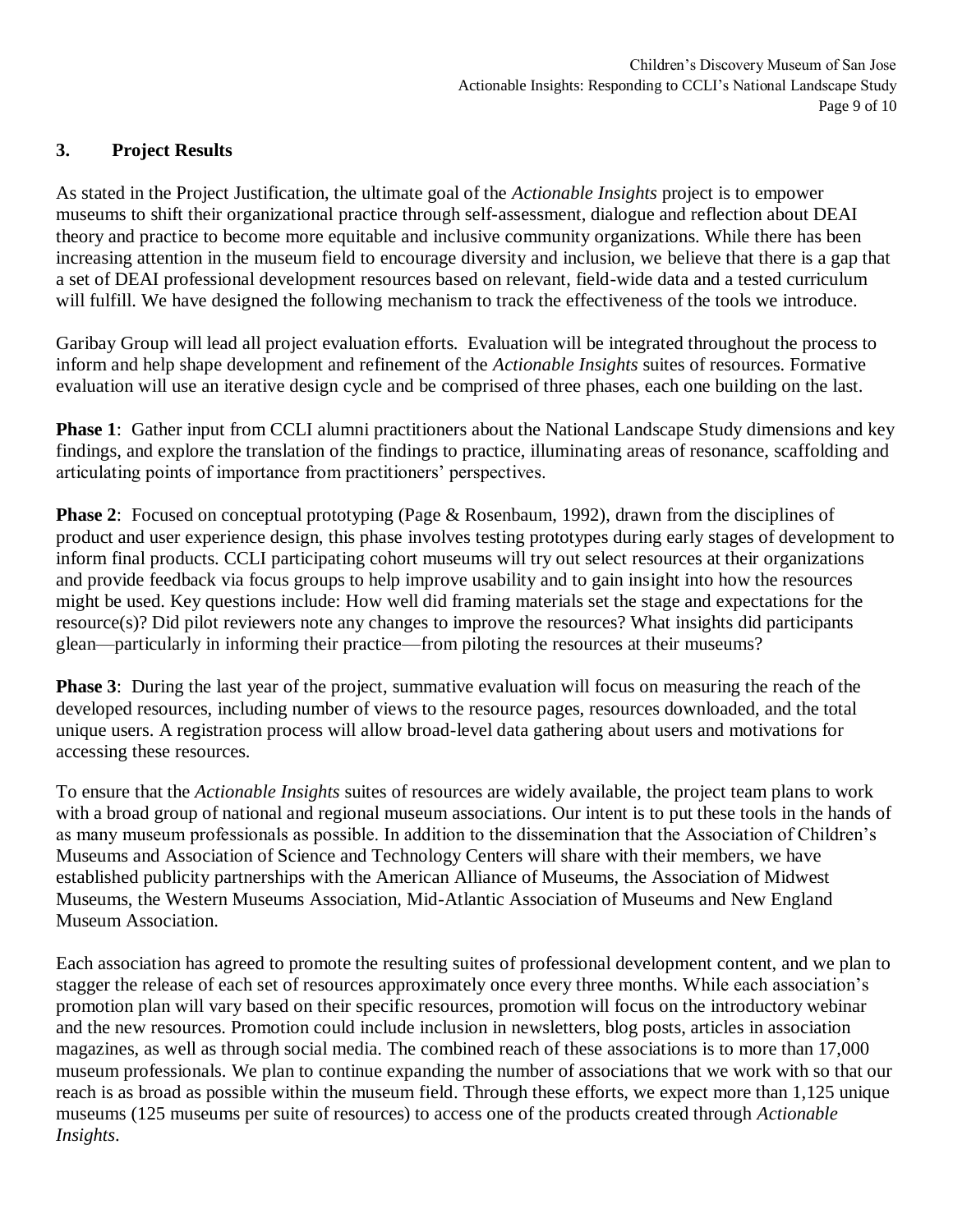## **3. Project Results**

As stated in the Project Justification, the ultimate goal of the *Actionable Insights* project is to empower museums to shift their organizational practice through self-assessment, dialogue and reflection about DEAI theory and practice to become more equitable and inclusive community organizations. While there has been increasing attention in the museum field to encourage diversity and inclusion, we believe that there is a gap that a set of DEAI professional development resources based on relevant, field-wide data and a tested curriculum will fulfill. We have designed the following mechanism to track the effectiveness of the tools we introduce.

Garibay Group will lead all project evaluation efforts. Evaluation will be integrated throughout the process to inform and help shape development and refinement of the *Actionable Insights* suites of resources. Formative evaluation will use an iterative design cycle and be comprised of three phases, each one building on the last.

**Phase 1**: Gather input from CCLI alumni practitioners about the National Landscape Study dimensions and key findings, and explore the translation of the findings to practice, illuminating areas of resonance, scaffolding and articulating points of importance from practitioners' perspectives.

**Phase 2:** Focused on conceptual prototyping (Page & Rosenbaum, 1992), drawn from the disciplines of product and user experience design, this phase involves testing prototypes during early stages of development to inform final products. CCLI participating cohort museums will try out select resources at their organizations and provide feedback via focus groups to help improve usability and to gain insight into how the resources might be used. Key questions include: How well did framing materials set the stage and expectations for the resource(s)? Did pilot reviewers note any changes to improve the resources? What insights did participants glean—particularly in informing their practice—from piloting the resources at their museums?

**Phase 3**: During the last year of the project, summative evaluation will focus on measuring the reach of the developed resources, including number of views to the resource pages, resources downloaded, and the total unique users. A registration process will allow broad-level data gathering about users and motivations for accessing these resources.

To ensure that the *Actionable Insights* suites of resources are widely available, the project team plans to work with a broad group of national and regional museum associations. Our intent is to put these tools in the hands of as many museum professionals as possible. In addition to the dissemination that the Association of Children's Museums and Association of Science and Technology Centers will share with their members, we have established publicity partnerships with the American Alliance of Museums, the Association of Midwest Museums, the Western Museums Association, Mid-Atlantic Association of Museums and New England Museum Association.

Each association has agreed to promote the resulting suites of professional development content, and we plan to stagger the release of each set of resources approximately once every three months. While each association's promotion plan will vary based on their specific resources, promotion will focus on the introductory webinar and the new resources. Promotion could include inclusion in newsletters, blog posts, articles in association magazines, as well as through social media. The combined reach of these associations is to more than 17,000 museum professionals. We plan to continue expanding the number of associations that we work with so that our reach is as broad as possible within the museum field. Through these efforts, we expect more than 1,125 unique museums (125 museums per suite of resources) to access one of the products created through *Actionable Insights*.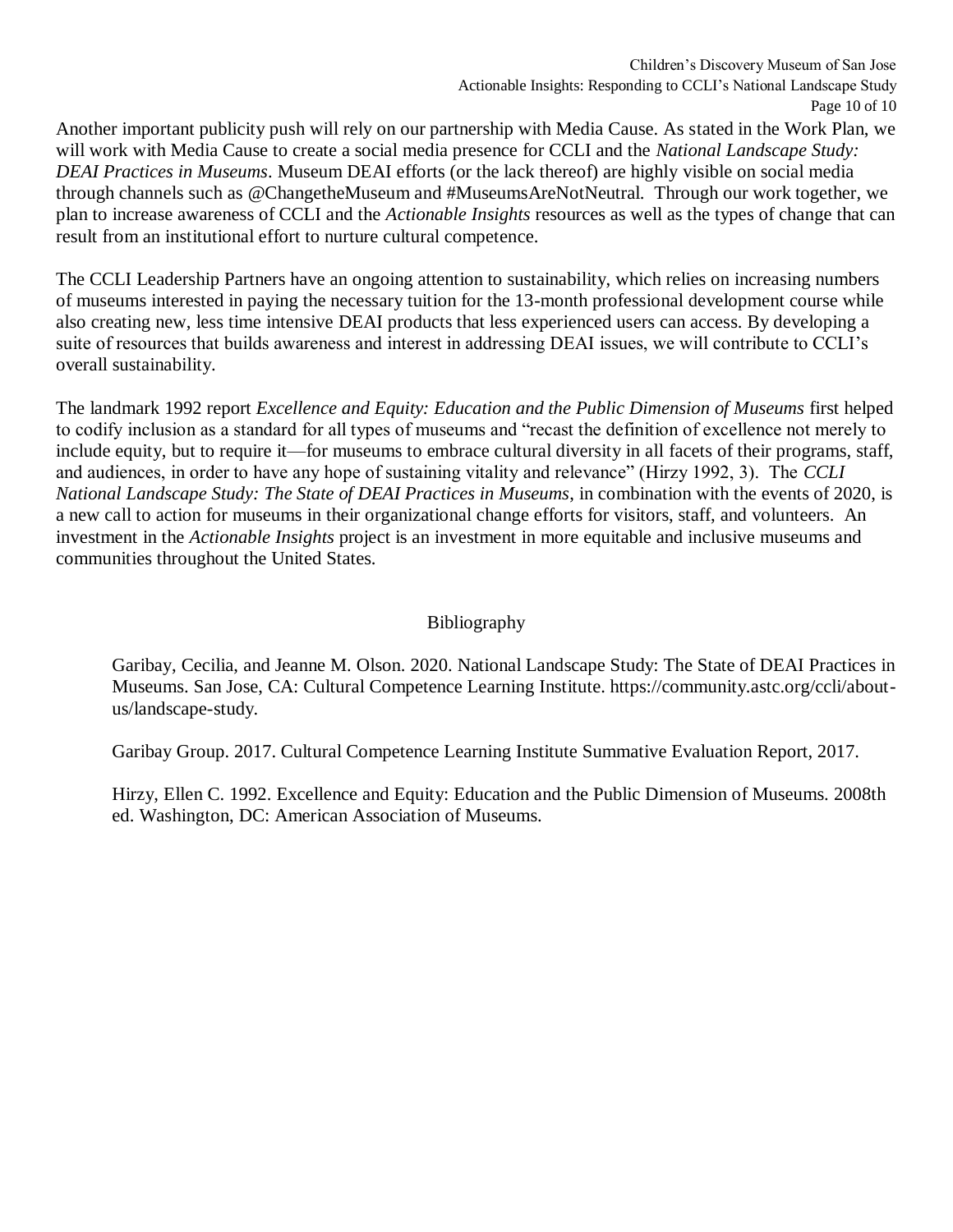Another important publicity push will rely on our partnership with Media Cause. As stated in the Work Plan, we will work with Media Cause to create a social media presence for CCLI and the *National Landscape Study: DEAI Practices in Museums*. Museum DEAI efforts (or the lack thereof) are highly visible on social media through channels such as @ChangetheMuseum and #MuseumsAreNotNeutral. Through our work together, we plan to increase awareness of CCLI and the *Actionable Insights* resources as well as the types of change that can result from an institutional effort to nurture cultural competence.

The CCLI Leadership Partners have an ongoing attention to sustainability, which relies on increasing numbers of museums interested in paying the necessary tuition for the 13-month professional development course while also creating new, less time intensive DEAI products that less experienced users can access. By developing a suite of resources that builds awareness and interest in addressing DEAI issues, we will contribute to CCLI's overall sustainability.

The landmark 1992 report *Excellence and Equity: Education and the Public Dimension of Museums* first helped to codify inclusion as a standard for all types of museums and "recast the definition of excellence not merely to include equity, but to require it—for museums to embrace cultural diversity in all facets of their programs, staff, and audiences, in order to have any hope of sustaining vitality and relevance" (Hirzy 1992, 3). The *CCLI National Landscape Study: The State of DEAI Practices in Museums*, in combination with the events of 2020, is a new call to action for museums in their organizational change efforts for visitors, staff, and volunteers. An investment in the *Actionable Insights* project is an investment in more equitable and inclusive museums and communities throughout the United States.

# Bibliography

Garibay, Cecilia, and Jeanne M. Olson. 2020. National Landscape Study: The State of DEAI Practices in Museums. San Jose, CA: Cultural Competence Learning Institute. https://community.astc.org/ccli/aboutus/landscape-study.

Garibay Group. 2017. Cultural Competence Learning Institute Summative Evaluation Report, 2017.

Hirzy, Ellen C. 1992. Excellence and Equity: Education and the Public Dimension of Museums. 2008th ed. Washington, DC: American Association of Museums.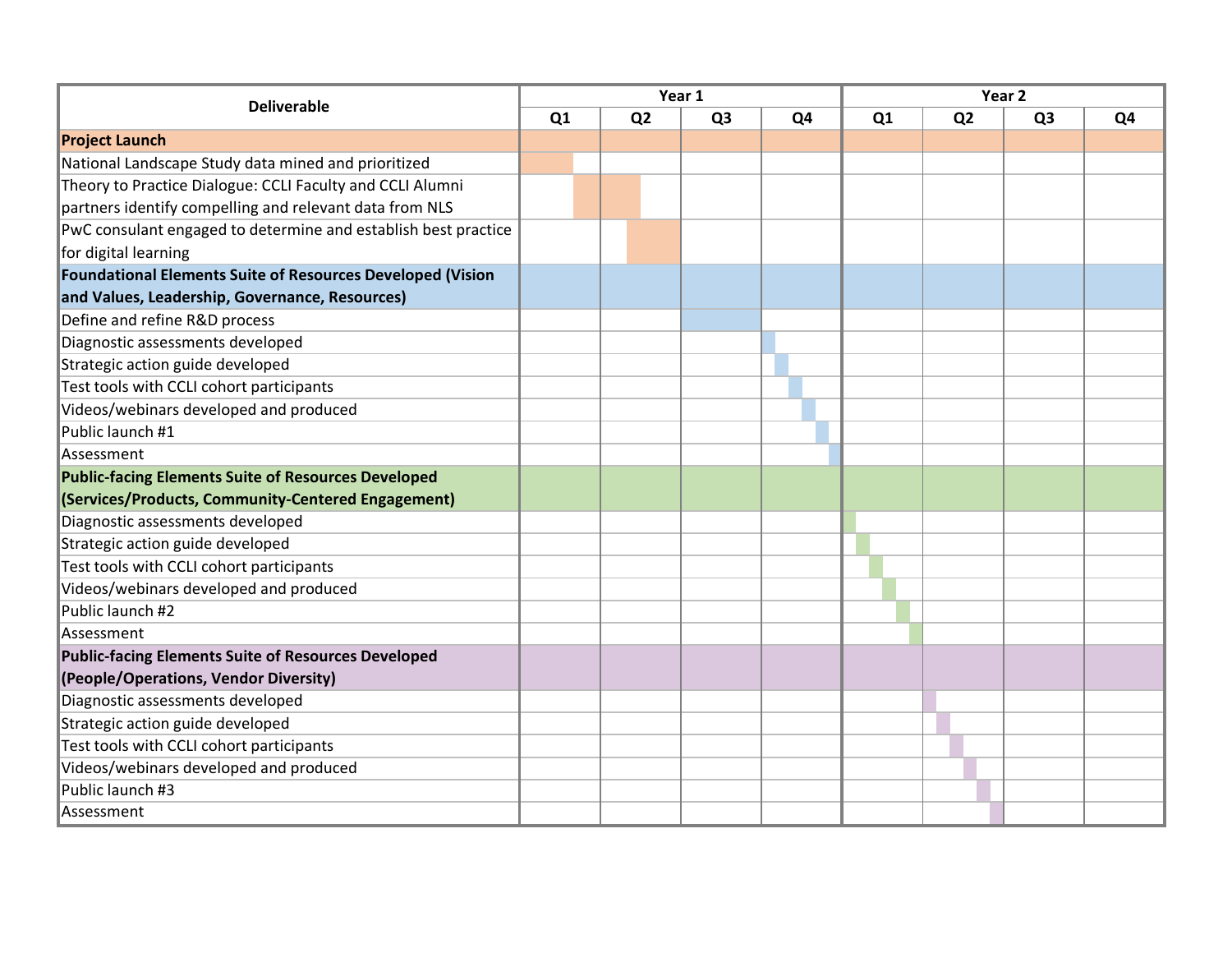| <b>Deliverable</b>                                                | Year 1 |                |                |    | Year <sub>2</sub> |                |                |    |
|-------------------------------------------------------------------|--------|----------------|----------------|----|-------------------|----------------|----------------|----|
|                                                                   | Q1     | Q <sub>2</sub> | Q <sub>3</sub> | Q4 | Q1                | Q <sub>2</sub> | Q <sub>3</sub> | Q4 |
| <b>Project Launch</b>                                             |        |                |                |    |                   |                |                |    |
| National Landscape Study data mined and prioritized               |        |                |                |    |                   |                |                |    |
| Theory to Practice Dialogue: CCLI Faculty and CCLI Alumni         |        |                |                |    |                   |                |                |    |
| partners identify compelling and relevant data from NLS           |        |                |                |    |                   |                |                |    |
| PwC consulant engaged to determine and establish best practice    |        |                |                |    |                   |                |                |    |
| for digital learning                                              |        |                |                |    |                   |                |                |    |
| <b>Foundational Elements Suite of Resources Developed (Vision</b> |        |                |                |    |                   |                |                |    |
| and Values, Leadership, Governance, Resources)                    |        |                |                |    |                   |                |                |    |
| Define and refine R&D process                                     |        |                |                |    |                   |                |                |    |
| Diagnostic assessments developed                                  |        |                |                |    |                   |                |                |    |
| Strategic action guide developed                                  |        |                |                |    |                   |                |                |    |
| Test tools with CCLI cohort participants                          |        |                |                |    |                   |                |                |    |
| Videos/webinars developed and produced                            |        |                |                |    |                   |                |                |    |
| Public launch #1                                                  |        |                |                |    |                   |                |                |    |
| Assessment                                                        |        |                |                |    |                   |                |                |    |
| <b>Public-facing Elements Suite of Resources Developed</b>        |        |                |                |    |                   |                |                |    |
| (Services/Products, Community-Centered Engagement)                |        |                |                |    |                   |                |                |    |
| Diagnostic assessments developed                                  |        |                |                |    |                   |                |                |    |
| Strategic action guide developed                                  |        |                |                |    |                   |                |                |    |
| Test tools with CCLI cohort participants                          |        |                |                |    |                   |                |                |    |
| Videos/webinars developed and produced                            |        |                |                |    |                   |                |                |    |
| Public launch #2                                                  |        |                |                |    |                   |                |                |    |
| Assessment                                                        |        |                |                |    |                   |                |                |    |
| <b>Public-facing Elements Suite of Resources Developed</b>        |        |                |                |    |                   |                |                |    |
| (People/Operations, Vendor Diversity)                             |        |                |                |    |                   |                |                |    |
| Diagnostic assessments developed                                  |        |                |                |    |                   |                |                |    |
| Strategic action guide developed                                  |        |                |                |    |                   |                |                |    |
| Test tools with CCLI cohort participants                          |        |                |                |    |                   |                |                |    |
| Videos/webinars developed and produced                            |        |                |                |    |                   |                |                |    |
| Public launch #3                                                  |        |                |                |    |                   |                |                |    |
| Assessment                                                        |        |                |                |    |                   |                |                |    |